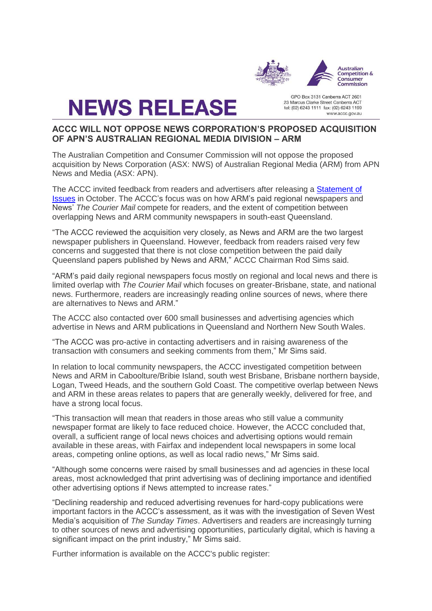

# **NEWS RELEASE**

GPO Box 3131 Canberra ACT 2601 23 Marcus Clarke Street Canberra ACT tel: (02) 6243 1111 fax: (02) 6243 1199 www.accc.gov.au

# **ACCC WILL NOT OPPOSE NEWS CORPORATION'S PROPOSED ACQUISITION OF APN'S AUSTRALIAN REGIONAL MEDIA DIVISION – ARM**

The Australian Competition and Consumer Commission will not oppose the proposed acquisition by News Corporation (ASX: NWS) of Australian Regional Media (ARM) from APN News and Media (ASX: APN).

The ACCC invited feedback from readers and advertisers after releasing a [Statement of](http://www.accc.gov.au/media-release/accc-invites-feedback-on-news-corporation%E2%80%99s-proposed-acquisition-of-apns-australian-regional-media-division)  [Issues](http://www.accc.gov.au/media-release/accc-invites-feedback-on-news-corporation%E2%80%99s-proposed-acquisition-of-apns-australian-regional-media-division) in October. The ACCC's focus was on how ARM's paid regional newspapers and News' *The Courier Mail* compete for readers, and the extent of competition between overlapping News and ARM community newspapers in south-east Queensland.

"The ACCC reviewed the acquisition very closely, as News and ARM are the two largest newspaper publishers in Queensland. However, feedback from readers raised very few concerns and suggested that there is not close competition between the paid daily Queensland papers published by News and ARM," ACCC Chairman Rod Sims said.

"ARM's paid daily regional newspapers focus mostly on regional and local news and there is limited overlap with *The Courier Mail* which focuses on greater-Brisbane, state, and national news. Furthermore, readers are increasingly reading online sources of news, where there are alternatives to News and ARM."

The ACCC also contacted over 600 small businesses and advertising agencies which advertise in News and ARM publications in Queensland and Northern New South Wales.

"The ACCC was pro-active in contacting advertisers and in raising awareness of the transaction with consumers and seeking comments from them," Mr Sims said.

In relation to local community newspapers, the ACCC investigated competition between News and ARM in Caboolture/Bribie Island, south west Brisbane, Brisbane northern bayside, Logan, Tweed Heads, and the southern Gold Coast. The competitive overlap between News and ARM in these areas relates to papers that are generally weekly, delivered for free, and have a strong local focus.

"This transaction will mean that readers in those areas who still value a community newspaper format are likely to face reduced choice. However, the ACCC concluded that, overall, a sufficient range of local news choices and advertising options would remain available in these areas, with Fairfax and independent local newspapers in some local areas, competing online options, as well as local radio news," Mr Sims said.

"Although some concerns were raised by small businesses and ad agencies in these local areas, most acknowledged that print advertising was of declining importance and identified other advertising options if News attempted to increase rates."

"Declining readership and reduced advertising revenues for hard-copy publications were important factors in the ACCC's assessment, as it was with the investigation of Seven West Media's acquisition of *The Sunday Times*. Advertisers and readers are increasingly turning to other sources of news and advertising opportunities, particularly digital, which is having a significant impact on the print industry," Mr Sims said.

Further information is available on the ACCC's public register: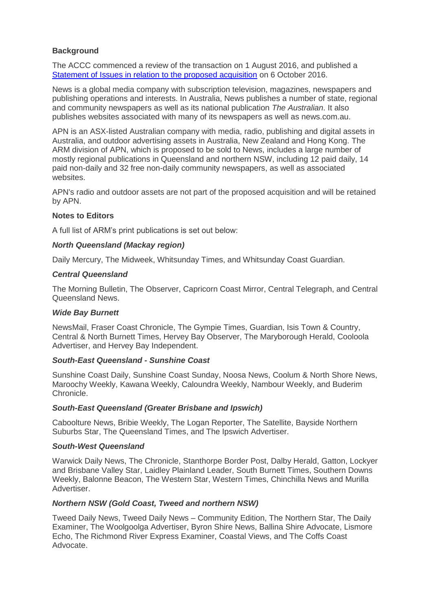## **Background**

The ACCC commenced a review of the transaction on 1 August 2016, and published a [Statement of Issues in relation to the proposed acquisition](http://www.accc.gov.au/media-release/accc-invites-feedback-on-news-corporation%E2%80%99s-proposed-acquisition-of-apns-australian-regional-media-division) on 6 October 2016.

News is a global media company with subscription television, magazines, newspapers and publishing operations and interests. In Australia, News publishes a number of state, regional and community newspapers as well as its national publication *The Australian*. It also publishes websites associated with many of its newspapers as well as news.com.au.

APN is an ASX-listed Australian company with media, radio, publishing and digital assets in Australia, and outdoor advertising assets in Australia, New Zealand and Hong Kong. The ARM division of APN, which is proposed to be sold to News, includes a large number of mostly regional publications in Queensland and northern NSW, including 12 paid daily, 14 paid non-daily and 32 free non-daily community newspapers, as well as associated websites.

APN's radio and outdoor assets are not part of the proposed acquisition and will be retained by APN.

## **Notes to Editors**

A full list of ARM's print publications is set out below:

## *North Queensland (Mackay region)*

Daily Mercury, The Midweek, Whitsunday Times, and Whitsunday Coast Guardian.

#### *Central Queensland*

The Morning Bulletin, The Observer, Capricorn Coast Mirror, Central Telegraph, and Central Queensland News.

#### *Wide Bay Burnett*

NewsMail, Fraser Coast Chronicle, The Gympie Times, Guardian, Isis Town & Country, Central & North Burnett Times, Hervey Bay Observer, The Maryborough Herald, Cooloola Advertiser, and Hervey Bay Independent.

#### *South-East Queensland - Sunshine Coast*

Sunshine Coast Daily, Sunshine Coast Sunday, Noosa News, Coolum & North Shore News, Maroochy Weekly, Kawana Weekly, Caloundra Weekly, Nambour Weekly, and Buderim Chronicle.

#### *South-East Queensland (Greater Brisbane and Ipswich)*

Caboolture News, Bribie Weekly, The Logan Reporter, The Satellite, Bayside Northern Suburbs Star, The Queensland Times, and The Ipswich Advertiser.

#### *South-West Queensland*

Warwick Daily News, The Chronicle, Stanthorpe Border Post, Dalby Herald, Gatton, Lockyer and Brisbane Valley Star, Laidley Plainland Leader, South Burnett Times, Southern Downs Weekly, Balonne Beacon, The Western Star, Western Times, Chinchilla News and Murilla Advertiser.

## *Northern NSW (Gold Coast, Tweed and northern NSW)*

Tweed Daily News, Tweed Daily News – Community Edition, The Northern Star, The Daily Examiner, The Woolgoolga Advertiser, Byron Shire News, Ballina Shire Advocate, Lismore Echo, The Richmond River Express Examiner, Coastal Views, and The Coffs Coast Advocate.